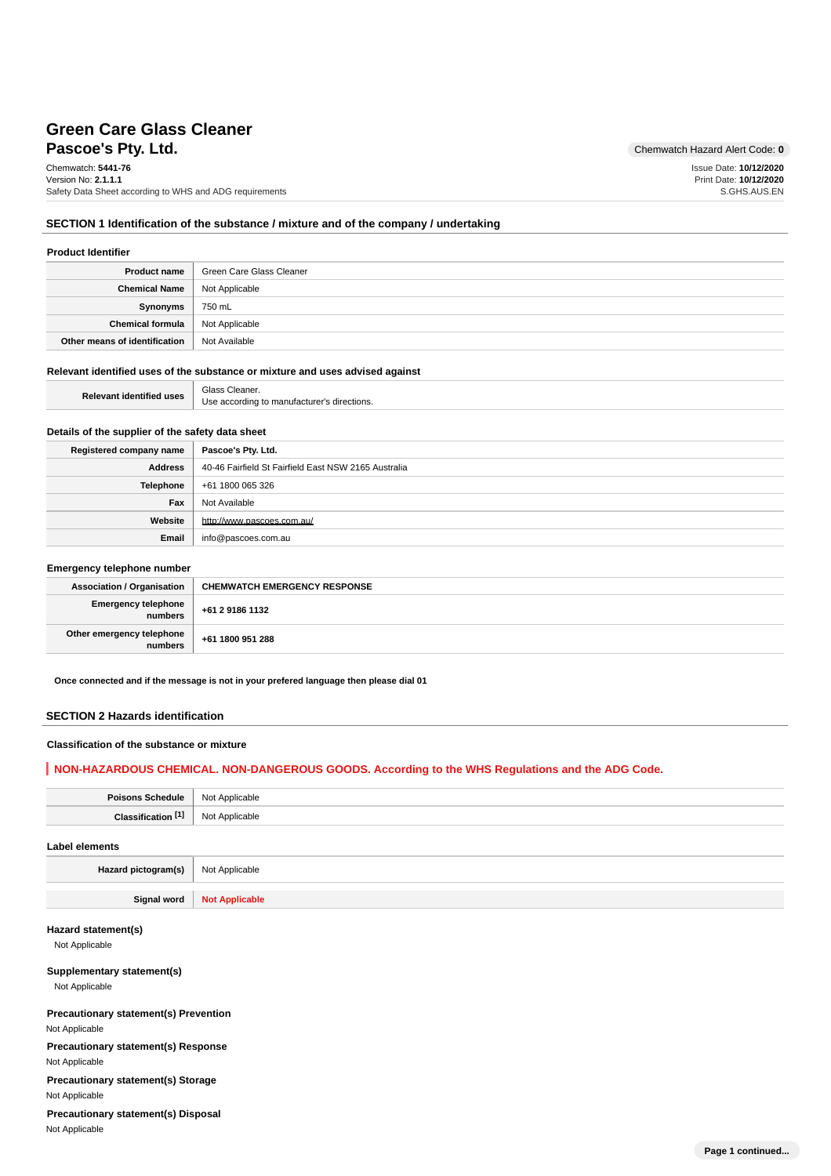# **Pascoe's Pty. Ltd.** Chemwatch Hazard Alert Code: 0 **Green Care Glass Cleaner**

Chemwatch: **5441-76** Version No: **2.1.1.1** Safety Data Sheet according to WHS and ADG requirements Issue Date: **10/12/2020** Print Date: **10/12/2020** S.GHS.AUS.EN

### **SECTION 1 Identification of the substance / mixture and of the company / undertaking**

#### **Product Identifier**

| <b>Product name</b>           | Green Care Glass Cleaner |
|-------------------------------|--------------------------|
| <b>Chemical Name</b>          | Not Applicable           |
| Synonyms                      | 750 mL                   |
| Chemical formula              | Not Applicable           |
| Other means of identification | Not Available            |

#### **Relevant identified uses of the substance or mixture and uses advised against**

| <b>Relevant identified uses</b> | Glass Cleaner.                              |
|---------------------------------|---------------------------------------------|
|                                 | Use according to manufacturer's directions. |

# **Details of the supplier of the safety data sheet**

| Registered company name | Pascoe's Pty. Ltd.                                   |
|-------------------------|------------------------------------------------------|
| <b>Address</b>          | 40-46 Fairfield St Fairfield East NSW 2165 Australia |
| <b>Telephone</b>        | +61 1800 065 326                                     |
| Fax                     | Not Available                                        |
| Website                 | http://www.pascoes.com.au/                           |
| Email                   | info@pascoes.com.au                                  |

#### **Emergency telephone number**

| <b>Association / Organisation</b>    | <b>CHEMWATCH EMERGENCY RESPONSE</b> |
|--------------------------------------|-------------------------------------|
| Emergency telephone<br>  numbers     | +61 2 9186 1132                     |
| Other emergency telephone<br>numbers | +61 1800 951 288                    |

**Once connected and if the message is not in your prefered language then please dial 01**

## **SECTION 2 Hazards identification**

## **Classification of the substance or mixture**

## **NON-HAZARDOUS CHEMICAL. NON-DANGEROUS GOODS. According to the WHS Regulations and the ADG Code.**

| Poisons Schedule   Not Applicable |                |
|-----------------------------------|----------------|
| Classification [1]                | Not Applicable |
|                                   |                |

## **Label elements**

Hazard pictogram(s) Not Applicable

**Signal word Not Applicable**

#### **Hazard statement(s)**

Not Applicable

#### **Supplementary statement(s)**

Not Applicable

# **Precautionary statement(s) Prevention**

Not Applicable

# **Precautionary statement(s) Response**

Not Applicable

**Precautionary statement(s) Storage**

Not Applicable

## **Precautionary statement(s) Disposal** Not Applicable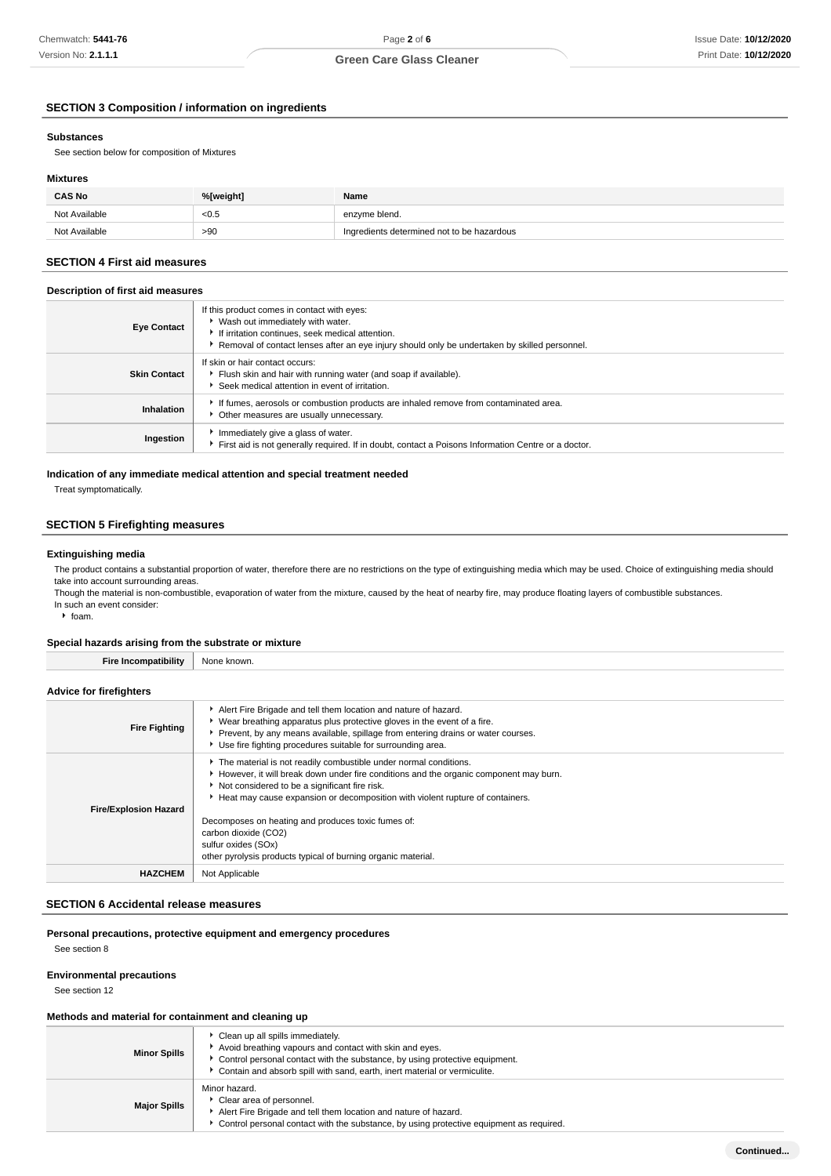# **SECTION 3 Composition / information on ingredients**

## **Substances**

See section below for composition of Mixtures

# **Mixtures**

| <b>CAS No</b> | %[weight] | Name                                       |
|---------------|-----------|--------------------------------------------|
| Not Available | < 0.5     | enzyme blend.                              |
| Not Available | >90       | Ingredients determined not to be hazardous |

## **SECTION 4 First aid measures**

### **Description of first aid measures**

| <b>Eye Contact</b>  | If this product comes in contact with eyes:<br>▶ Wash out immediately with water.<br>If irritation continues, seek medical attention.<br>Removal of contact lenses after an eye injury should only be undertaken by skilled personnel. |
|---------------------|----------------------------------------------------------------------------------------------------------------------------------------------------------------------------------------------------------------------------------------|
| <b>Skin Contact</b> | If skin or hair contact occurs:<br>Flush skin and hair with running water (and soap if available).<br>Seek medical attention in event of irritation.                                                                                   |
| Inhalation          | If fumes, aerosols or combustion products are inhaled remove from contaminated area.<br>Other measures are usually unnecessary.                                                                                                        |
| Ingestion           | Immediately give a glass of water.<br>First aid is not generally required. If in doubt, contact a Poisons Information Centre or a doctor.                                                                                              |

### **Indication of any immediate medical attention and special treatment needed**

Treat symptomatically.

## **SECTION 5 Firefighting measures**

#### **Extinguishing media**

The product contains a substantial proportion of water, therefore there are no restrictions on the type of extinguishing media which may be used. Choice of extinguishing media should take into account surrounding areas.

Though the material is non-combustible, evaporation of water from the mixture, caused by the heat of nearby fire, may produce floating layers of combustible substances. In such an event consider:

 $\cdot$  foam.

#### **Special hazards arising from the substrate or mixture**

**Fire Incompatibility** None known.

#### **Advice for firefighters**

| <b>Fire Fighting</b>         | Alert Fire Brigade and tell them location and nature of hazard.<br>• Wear breathing apparatus plus protective gloves in the event of a fire.<br>▶ Prevent, by any means available, spillage from entering drains or water courses.<br>▶ Use fire fighting procedures suitable for surrounding area. |
|------------------------------|-----------------------------------------------------------------------------------------------------------------------------------------------------------------------------------------------------------------------------------------------------------------------------------------------------|
| <b>Fire/Explosion Hazard</b> | The material is not readily combustible under normal conditions.<br>However, it will break down under fire conditions and the organic component may burn.<br>Not considered to be a significant fire risk.<br>Heat may cause expansion or decomposition with violent rupture of containers.         |
|                              | Decomposes on heating and produces toxic fumes of:<br>carbon dioxide (CO2)<br>sulfur oxides (SOx)<br>other pyrolysis products typical of burning organic material.                                                                                                                                  |
| <b>HAZCHEM</b>               | Not Applicable                                                                                                                                                                                                                                                                                      |

#### **SECTION 6 Accidental release measures**

# **Personal precautions, protective equipment and emergency procedures**

See section 8

## **Environmental precautions**

See section 12

#### **Methods and material for containment and cleaning up**

| <b>Minor Spills</b> | Clean up all spills immediately.<br>Avoid breathing vapours and contact with skin and eyes.<br>Control personal contact with the substance, by using protective equipment.<br>Contain and absorb spill with sand, earth, inert material or vermiculite. |
|---------------------|---------------------------------------------------------------------------------------------------------------------------------------------------------------------------------------------------------------------------------------------------------|
| <b>Major Spills</b> | Minor hazard.<br>Clear area of personnel.<br>Alert Fire Brigade and tell them location and nature of hazard.<br>Control personal contact with the substance, by using protective equipment as required.                                                 |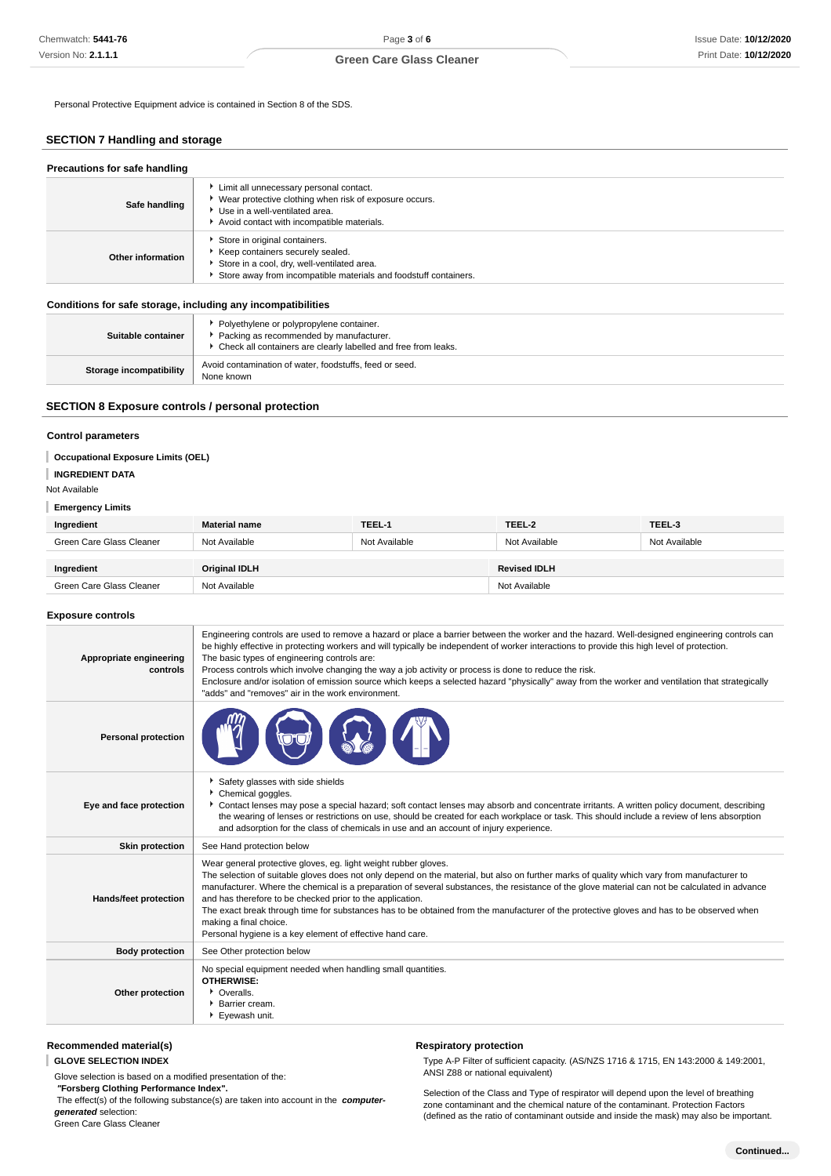## **Green Care Glass Cleaner**

Personal Protective Equipment advice is contained in Section 8 of the SDS.

## **SECTION 7 Handling and storage**

| Precautions for safe handling |                                                                                                                                                                                      |  |  |
|-------------------------------|--------------------------------------------------------------------------------------------------------------------------------------------------------------------------------------|--|--|
| Safe handling                 | Limit all unnecessary personal contact.<br>▶ Wear protective clothing when risk of exposure occurs.<br>Use in a well-ventilated area.<br>Avoid contact with incompatible materials.  |  |  |
| Other information             | Store in original containers.<br>Keep containers securely sealed.<br>Store in a cool, dry, well-ventilated area.<br>Store away from incompatible materials and foodstuff containers. |  |  |

#### **Conditions for safe storage, including any incompatibilities**

| Suitable container             | • Polyethylene or polypropylene container.<br>Packing as recommended by manufacturer.<br>• Check all containers are clearly labelled and free from leaks. |
|--------------------------------|-----------------------------------------------------------------------------------------------------------------------------------------------------------|
| <b>Storage incompatibility</b> | Avoid contamination of water, foodstuffs, feed or seed.<br>None known                                                                                     |

### **SECTION 8 Exposure controls / personal protection**

### **Control parameters**

### **Occupational Exposure Limits (OEL)**

### **INGREDIENT DATA**

Not Available

#### **Emergency Limits**

| Ingredient               | <b>Material name</b> | TEEL-1        | TEEL-2              | TEEL-3        |
|--------------------------|----------------------|---------------|---------------------|---------------|
| Green Care Glass Cleaner | Not Available        | Not Available | Not Available       | Not Available |
|                          |                      |               |                     |               |
| Ingredient               | <b>Original IDLH</b> |               | <b>Revised IDLH</b> |               |
| Green Care Glass Cleaner | Not Available        |               | Not Available       |               |

#### **Exposure controls**

| Appropriate engineering<br>controls | Engineering controls are used to remove a hazard or place a barrier between the worker and the hazard. Well-designed engineering controls can<br>be highly effective in protecting workers and will typically be independent of worker interactions to provide this high level of protection.<br>The basic types of engineering controls are:<br>Process controls which involve changing the way a job activity or process is done to reduce the risk.<br>Enclosure and/or isolation of emission source which keeps a selected hazard "physically" away from the worker and ventilation that strategically<br>"adds" and "removes" air in the work environment.   |
|-------------------------------------|-------------------------------------------------------------------------------------------------------------------------------------------------------------------------------------------------------------------------------------------------------------------------------------------------------------------------------------------------------------------------------------------------------------------------------------------------------------------------------------------------------------------------------------------------------------------------------------------------------------------------------------------------------------------|
| <b>Personal protection</b>          |                                                                                                                                                                                                                                                                                                                                                                                                                                                                                                                                                                                                                                                                   |
| Eye and face protection             | Safety glasses with side shields<br>Chemical goggles.<br>Contact lenses may pose a special hazard; soft contact lenses may absorb and concentrate irritants. A written policy document, describing<br>the wearing of lenses or restrictions on use, should be created for each workplace or task. This should include a review of lens absorption<br>and adsorption for the class of chemicals in use and an account of injury experience.                                                                                                                                                                                                                        |
| <b>Skin protection</b>              | See Hand protection below                                                                                                                                                                                                                                                                                                                                                                                                                                                                                                                                                                                                                                         |
| <b>Hands/feet protection</b>        | Wear general protective gloves, eg. light weight rubber gloves.<br>The selection of suitable gloves does not only depend on the material, but also on further marks of quality which vary from manufacturer to<br>manufacturer. Where the chemical is a preparation of several substances, the resistance of the glove material can not be calculated in advance<br>and has therefore to be checked prior to the application.<br>The exact break through time for substances has to be obtained from the manufacturer of the protective gloves and has to be observed when<br>making a final choice.<br>Personal hygiene is a key element of effective hand care. |
| <b>Body protection</b>              | See Other protection below                                                                                                                                                                                                                                                                                                                                                                                                                                                                                                                                                                                                                                        |
| Other protection                    | No special equipment needed when handling small quantities.<br><b>OTHERWISE:</b><br>• Overalls.<br><b>Barrier cream.</b><br>Eyewash unit.                                                                                                                                                                                                                                                                                                                                                                                                                                                                                                                         |

## **Recommended material(s)**

**GLOVE SELECTION INDEX**

Glove selection is based on a modified presentation of the:

 **"Forsberg Clothing Performance Index".**

 The effect(s) of the following substance(s) are taken into account in the **computergenerated** selection:

Green Care Glass Cleaner

## **Respiratory protection**

Type A-P Filter of sufficient capacity. (AS/NZS 1716 & 1715, EN 143:2000 & 149:2001, ANSI Z88 or national equivalent)

Selection of the Class and Type of respirator will depend upon the level of breathing zone contaminant and the chemical nature of the contaminant. Protection Factors (defined as the ratio of contaminant outside and inside the mask) may also be important.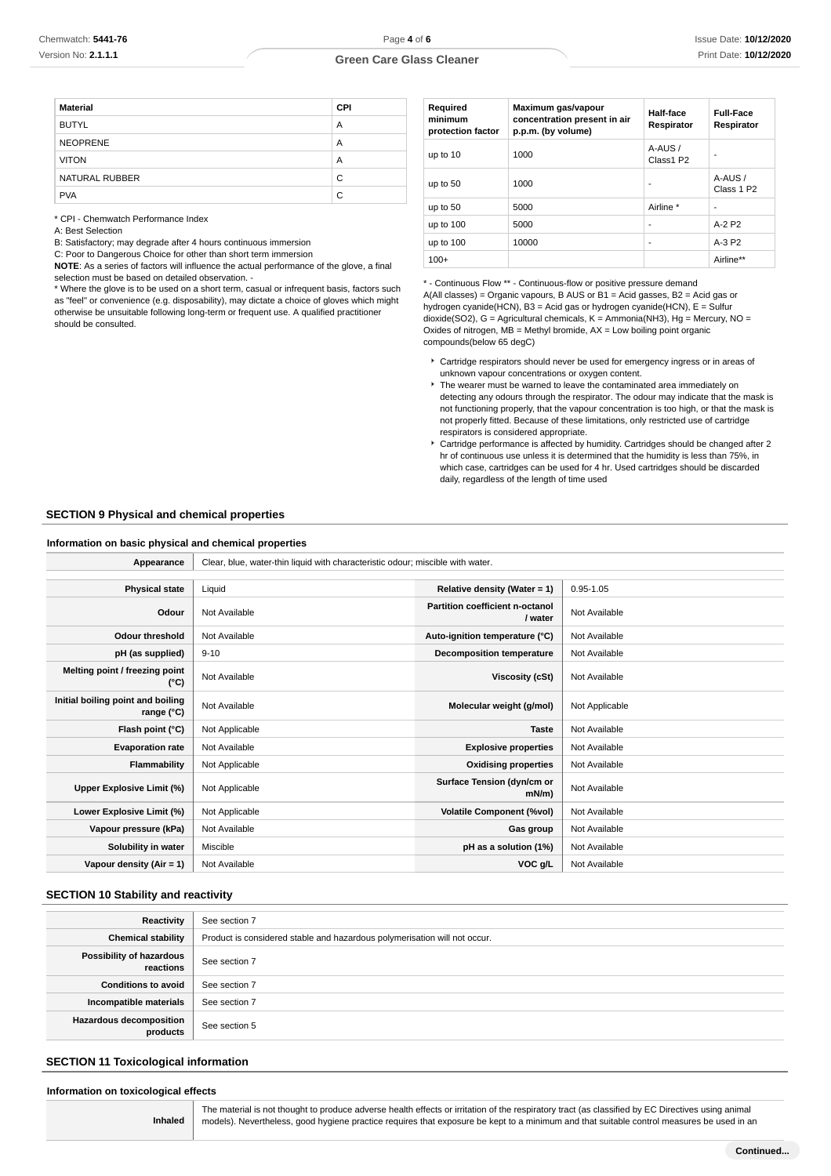## **Green Care Glass Cleaner**

| <b>Material</b> | <b>CPI</b> |
|-----------------|------------|
| <b>BUTYL</b>    | A          |
| <b>NEOPRENE</b> | A          |
| <b>VITON</b>    | A          |
| NATURAL RUBBER  | C          |
| <b>PVA</b>      | C          |

\* CPI - Chemwatch Performance Index

A: Best Selection

B: Satisfactory; may degrade after 4 hours continuous immersion

C: Poor to Dangerous Choice for other than short term immersion

**NOTE**: As a series of factors will influence the actual performance of the glove, a final selection must be based on detailed observation. -

\* Where the glove is to be used on a short term, casual or infrequent basis, factors such as "feel" or convenience (e.g. disposability), may dictate a choice of gloves which might otherwise be unsuitable following long-term or frequent use. A qualified practitioner should be consulted.

| Required<br>minimum<br>protection factor | Maximum gas/vapour<br>concentration present in air<br>p.p.m. (by volume) | Half-face<br>Respirator | <b>Full-Face</b><br>Respirator   |
|------------------------------------------|--------------------------------------------------------------------------|-------------------------|----------------------------------|
| up to 10                                 | 1000                                                                     | A-AUS /<br>Class1 P2    |                                  |
| up to 50                                 | 1000                                                                     | ۰                       | A-AUS/<br>Class 1 P <sub>2</sub> |
| up to 50                                 | 5000                                                                     | Airline *               |                                  |
| up to 100                                | 5000                                                                     | ۰                       | $A-2P2$                          |
| up to 100                                | 10000                                                                    | ٠                       | $A-3P2$                          |
| $100+$                                   |                                                                          |                         | Airline**                        |

\* - Continuous Flow \*\* - Continuous-flow or positive pressure demand A(All classes) = Organic vapours, B AUS or B1 = Acid gasses, B2 = Acid gas or hydrogen cyanide(HCN), B3 = Acid gas or hydrogen cyanide(HCN), E = Sulfur dioxide(SO2), G = Agricultural chemicals, K = Ammonia(NH3), Hg = Mercury, NO = Oxides of nitrogen,  $MB =$  Methyl bromide,  $AX =$  Low boiling point organic compounds(below 65 degC)

- Cartridge respirators should never be used for emergency ingress or in areas of unknown vapour concentrations or oxygen content.
- The wearer must be warned to leave the contaminated area immediately on detecting any odours through the respirator. The odour may indicate that the mask is not functioning properly, that the vapour concentration is too high, or that the mask is not properly fitted. Because of these limitations, only restricted use of cartridge respirators is considered appropriate.
- Cartridge performance is affected by humidity. Cartridges should be changed after 2 hr of continuous use unless it is determined that the humidity is less than 75%, in which case, cartridges can be used for 4 hr. Used cartridges should be discarded daily, regardless of the length of time used

#### **SECTION 9 Physical and chemical properties**

#### **Information on basic physical and chemical properties**

| Appearance                                      | Clear, blue, water-thin liquid with characteristic odour; miscible with water. |                                            |                |
|-------------------------------------------------|--------------------------------------------------------------------------------|--------------------------------------------|----------------|
|                                                 |                                                                                |                                            |                |
| <b>Physical state</b>                           | Liquid                                                                         | Relative density (Water = 1)               | $0.95 - 1.05$  |
| Odour                                           | Not Available                                                                  | Partition coefficient n-octanol<br>/ water | Not Available  |
| <b>Odour threshold</b>                          | Not Available                                                                  | Auto-ignition temperature (°C)             | Not Available  |
| pH (as supplied)                                | $9 - 10$                                                                       | Decomposition temperature                  | Not Available  |
| Melting point / freezing point<br>(°C)          | Not Available                                                                  | Viscosity (cSt)                            | Not Available  |
| Initial boiling point and boiling<br>range (°C) | Not Available                                                                  | Molecular weight (g/mol)                   | Not Applicable |
| Flash point (°C)                                | Not Applicable                                                                 | <b>Taste</b>                               | Not Available  |
| <b>Evaporation rate</b>                         | Not Available                                                                  | <b>Explosive properties</b>                | Not Available  |
| Flammability                                    | Not Applicable                                                                 | <b>Oxidising properties</b>                | Not Available  |
| Upper Explosive Limit (%)                       | Not Applicable                                                                 | Surface Tension (dyn/cm or<br>$mN/m$ )     | Not Available  |
| Lower Explosive Limit (%)                       | Not Applicable                                                                 | <b>Volatile Component (%vol)</b>           | Not Available  |
| Vapour pressure (kPa)                           | Not Available                                                                  | Gas group                                  | Not Available  |
| Solubility in water                             | Miscible                                                                       | pH as a solution (1%)                      | Not Available  |
| Vapour density $(Air = 1)$                      | Not Available                                                                  | VOC g/L                                    | Not Available  |

# **SECTION 10 Stability and reactivity**

| Reactivity                                 | See section 7                                                             |
|--------------------------------------------|---------------------------------------------------------------------------|
| <b>Chemical stability</b>                  | Product is considered stable and hazardous polymerisation will not occur. |
| Possibility of hazardous<br>reactions      | See section 7                                                             |
| <b>Conditions to avoid</b>                 | See section 7                                                             |
| Incompatible materials                     | See section 7                                                             |
| <b>Hazardous decomposition</b><br>products | See section 5                                                             |

## **SECTION 11 Toxicological information**

# **Information on toxicological effects**

**Inhaled**

The material is not thought to produce adverse health effects or irritation of the respiratory tract (as classified by EC Directives using animal models). Nevertheless, good hygiene practice requires that exposure be kept to a minimum and that suitable control measures be used in an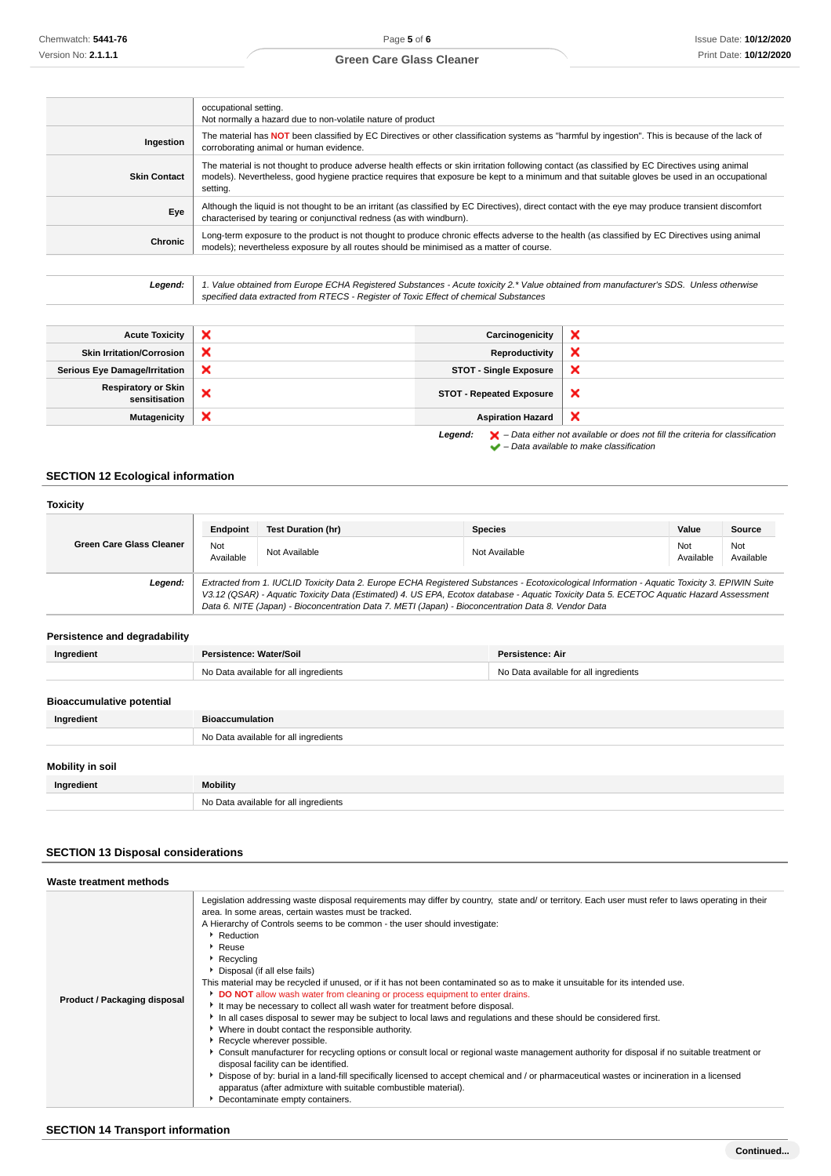## **Green Care Glass Cleaner**

|                     | occupational setting.<br>Not normally a hazard due to non-volatile nature of product                                                                                                                                                                                                                        |
|---------------------|-------------------------------------------------------------------------------------------------------------------------------------------------------------------------------------------------------------------------------------------------------------------------------------------------------------|
| Ingestion           | The material has NOT been classified by EC Directives or other classification systems as "harmful by ingestion". This is because of the lack of<br>corroborating animal or human evidence.                                                                                                                  |
| <b>Skin Contact</b> | The material is not thought to produce adverse health effects or skin irritation following contact (as classified by EC Directives using animal<br>models). Nevertheless, good hygiene practice requires that exposure be kept to a minimum and that suitable gloves be used in an occupational<br>setting. |
| Eye                 | Although the liquid is not thought to be an irritant (as classified by EC Directives), direct contact with the eye may produce transient discomfort<br>characterised by tearing or conjunctival redness (as with windburn).                                                                                 |
| Chronic             | Long-term exposure to the product is not thought to produce chronic effects adverse to the health (as classified by EC Directives using animal<br>models); nevertheless exposure by all routes should be minimised as a matter of course.                                                                   |
|                     |                                                                                                                                                                                                                                                                                                             |

**Legend:** 1. Value obtained from Europe ECHA Registered Substances - Acute toxicity 2.\* Value obtained from manufacturer's SDS. Unless otherwise specified data extracted from RTECS - Register of Toxic Effect of chemical Substances

| <b>Acute Toxicity</b>                | × | Carcinogenicity                 | ×                                                                                                                                                                                                                             |
|--------------------------------------|---|---------------------------------|-------------------------------------------------------------------------------------------------------------------------------------------------------------------------------------------------------------------------------|
| <b>Skin Irritation/Corrosion</b>     | × | Reproductivity                  | ×                                                                                                                                                                                                                             |
| <b>Serious Eye Damage/Irritation</b> | × | <b>STOT - Single Exposure</b>   | $\boldsymbol{\times}$                                                                                                                                                                                                         |
| Respiratory or Skin<br>sensitisation | × | <b>STOT - Repeated Exposure</b> | ×                                                                                                                                                                                                                             |
| <b>Mutagenicity</b>                  | × | <b>Aspiration Hazard</b>        | ×                                                                                                                                                                                                                             |
|                                      |   |                                 | Louisian L. L. Battle and contained and developed and Cliffic advantational conditions of the contact the contact of the contact of the contact of the contact of the contact of the contact of the contact of the contact of |

**Legend:**  $\mathbf{X}$  – Data either not available or does not fill the criteria for classification – Data available to make classification

# **SECTION 12 Ecological information**

| <b>Toxicity</b>                  |                         |                                                                                                                                                                                                                                                                                                                                                                                                 |                                       |                  |                  |
|----------------------------------|-------------------------|-------------------------------------------------------------------------------------------------------------------------------------------------------------------------------------------------------------------------------------------------------------------------------------------------------------------------------------------------------------------------------------------------|---------------------------------------|------------------|------------------|
|                                  | Endpoint                | <b>Test Duration (hr)</b>                                                                                                                                                                                                                                                                                                                                                                       | <b>Species</b>                        | Value            | Source           |
| <b>Green Care Glass Cleaner</b>  | Not<br>Available        | Not Available                                                                                                                                                                                                                                                                                                                                                                                   | Not Available                         | Not<br>Available | Not<br>Available |
| Legend:                          |                         | Extracted from 1. IUCLID Toxicity Data 2. Europe ECHA Registered Substances - Ecotoxicological Information - Aquatic Toxicity 3. EPIWIN Suite<br>V3.12 (QSAR) - Aquatic Toxicity Data (Estimated) 4. US EPA, Ecotox database - Aquatic Toxicity Data 5. ECETOC Aquatic Hazard Assessment<br>Data 6. NITE (Japan) - Bioconcentration Data 7. METI (Japan) - Bioconcentration Data 8. Vendor Data |                                       |                  |                  |
| Persistence and degradability    |                         |                                                                                                                                                                                                                                                                                                                                                                                                 |                                       |                  |                  |
| Ingredient                       | Persistence: Water/Soil |                                                                                                                                                                                                                                                                                                                                                                                                 | Persistence: Air                      |                  |                  |
|                                  |                         | No Data available for all ingredients                                                                                                                                                                                                                                                                                                                                                           | No Data available for all ingredients |                  |                  |
| <b>Bioaccumulative potential</b> |                         |                                                                                                                                                                                                                                                                                                                                                                                                 |                                       |                  |                  |
| Ingredient                       | <b>Bioaccumulation</b>  |                                                                                                                                                                                                                                                                                                                                                                                                 |                                       |                  |                  |
|                                  |                         | No Data available for all ingredients                                                                                                                                                                                                                                                                                                                                                           |                                       |                  |                  |
| Mobility in soil                 |                         |                                                                                                                                                                                                                                                                                                                                                                                                 |                                       |                  |                  |
| Ingredient                       | <b>Mobility</b>         |                                                                                                                                                                                                                                                                                                                                                                                                 |                                       |                  |                  |
|                                  |                         | No Data available for all ingredients                                                                                                                                                                                                                                                                                                                                                           |                                       |                  |                  |

# **SECTION 13 Disposal considerations**

| Waste treatment methods      |                                                                                                                                                                                                                                                                                                                                                                                                                                                                                                                                                                                                                                                                                                                                                                                                                                                                                                                                                                                                                                                                                                                                                                                                                                                                                                                                                  |
|------------------------------|--------------------------------------------------------------------------------------------------------------------------------------------------------------------------------------------------------------------------------------------------------------------------------------------------------------------------------------------------------------------------------------------------------------------------------------------------------------------------------------------------------------------------------------------------------------------------------------------------------------------------------------------------------------------------------------------------------------------------------------------------------------------------------------------------------------------------------------------------------------------------------------------------------------------------------------------------------------------------------------------------------------------------------------------------------------------------------------------------------------------------------------------------------------------------------------------------------------------------------------------------------------------------------------------------------------------------------------------------|
| Product / Packaging disposal | Legislation addressing waste disposal requirements may differ by country, state and/ or territory. Each user must refer to laws operating in their<br>area. In some areas, certain wastes must be tracked.<br>A Hierarchy of Controls seems to be common - the user should investigate:<br>Reduction<br>$\blacktriangleright$ Reuse<br>▶ Recycling<br>Disposal (if all else fails)<br>This material may be recycled if unused, or if it has not been contaminated so as to make it unsuitable for its intended use.<br><b>DO NOT</b> allow wash water from cleaning or process equipment to enter drains.<br>It may be necessary to collect all wash water for treatment before disposal.<br>In all cases disposal to sewer may be subject to local laws and regulations and these should be considered first.<br>Where in doubt contact the responsible authority.<br>Recycle wherever possible.<br>► Consult manufacturer for recycling options or consult local or regional waste management authority for disposal if no suitable treatment or<br>disposal facility can be identified.<br>▶ Dispose of by: burial in a land-fill specifically licensed to accept chemical and / or pharmaceutical wastes or incineration in a licensed<br>apparatus (after admixture with suitable combustible material).<br>Decontaminate empty containers. |